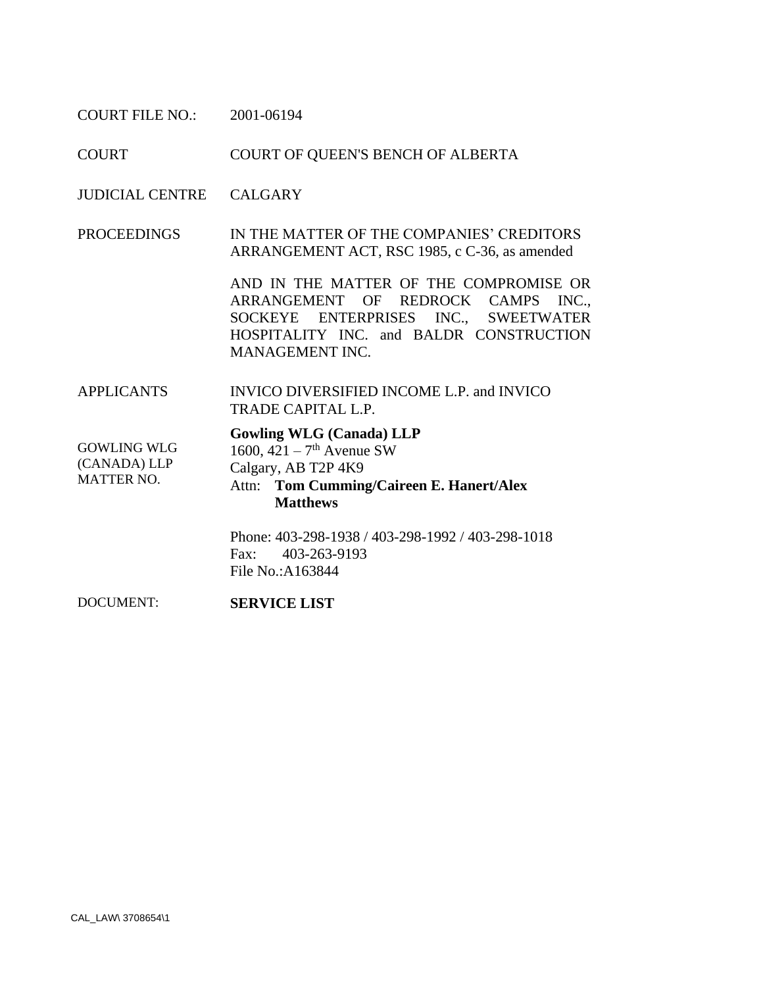COURT FILE NO.: 2001-06194

COURT COURT OF QUEEN'S BENCH OF ALBERTA

JUDICIAL CENTRE CALGARY

PROCEEDINGS IN THE MATTER OF THE COMPANIES' CREDITORS ARRANGEMENT ACT, RSC 1985, c C-36, as amended

> AND IN THE MATTER OF THE COMPROMISE OR ARRANGEMENT OF REDROCK CAMPS INC., SOCKEYE ENTERPRISES INC., SWEETWATER HOSPITALITY INC. and BALDR CONSTRUCTION MANAGEMENT INC.

APPLICANTS INVICO DIVERSIFIED INCOME L.P. and INVICO TRADE CAPITAL L.P.

## **Gowling WLG (Canada) LLP**

GOWLING WLG (CANADA) LLP MATTER NO.

- 1600,  $421 7$ <sup>th</sup> Avenue SW
- Calgary, AB T2P 4K9
- Attn: **Tom Cumming/Caireen E. Hanert/Alex Matthews**

Phone: 403-298-1938 / 403-298-1992 / 403-298-1018 Fax: 403-263-9193 File No.:A163844

DOCUMENT: **SERVICE LIST**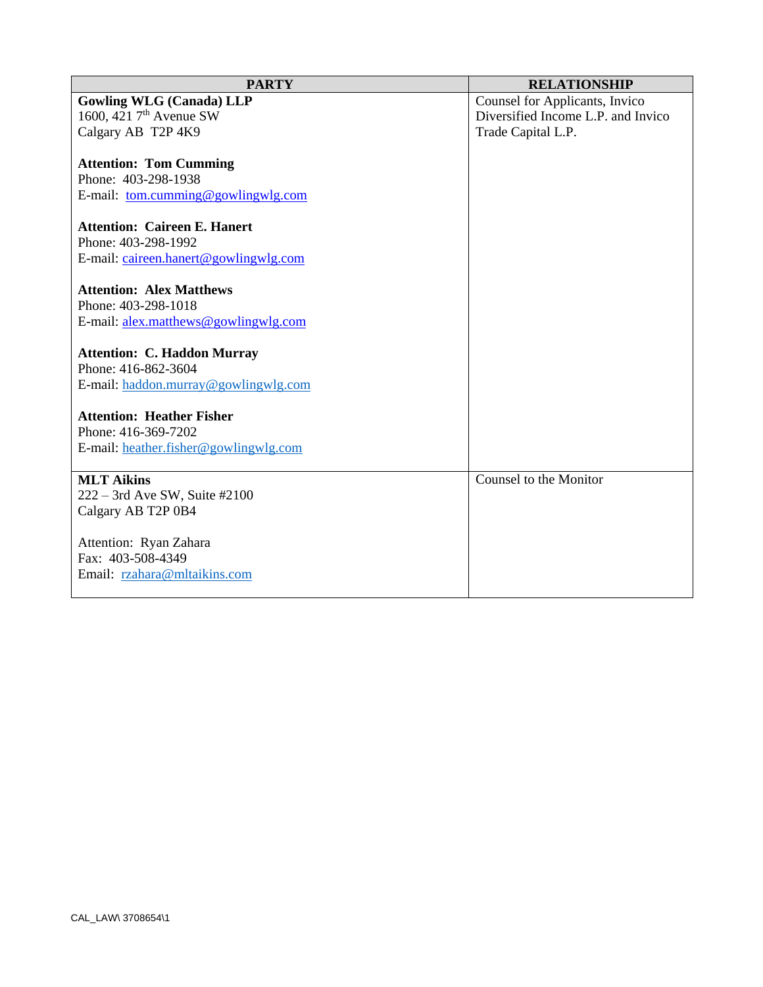| <b>PARTY</b>                          | <b>RELATIONSHIP</b>                |
|---------------------------------------|------------------------------------|
| <b>Gowling WLG (Canada) LLP</b>       | Counsel for Applicants, Invico     |
| 1600, 421 7 <sup>th</sup> Avenue SW   | Diversified Income L.P. and Invico |
| Calgary AB T2P 4K9                    | Trade Capital L.P.                 |
|                                       |                                    |
| <b>Attention: Tom Cumming</b>         |                                    |
| Phone: 403-298-1938                   |                                    |
| E-mail: tom.cumming@gowlingwlg.com    |                                    |
| <b>Attention: Caireen E. Hanert</b>   |                                    |
| Phone: 403-298-1992                   |                                    |
| E-mail: caireen.hanert@gowlingwlg.com |                                    |
|                                       |                                    |
| <b>Attention: Alex Matthews</b>       |                                    |
| Phone: 403-298-1018                   |                                    |
| E-mail: alex.matthews@gowlingwlg.com  |                                    |
|                                       |                                    |
| <b>Attention: C. Haddon Murray</b>    |                                    |
| Phone: 416-862-3604                   |                                    |
| E-mail: haddon.murray@gowlingwlg.com  |                                    |
| <b>Attention: Heather Fisher</b>      |                                    |
| Phone: 416-369-7202                   |                                    |
| E-mail: heather.fisher@gowlingwlg.com |                                    |
|                                       |                                    |
| <b>MLT Aikins</b>                     | Counsel to the Monitor             |
| $222 - 3$ rd Ave SW, Suite #2100      |                                    |
| Calgary AB T2P 0B4                    |                                    |
|                                       |                                    |
| Attention: Ryan Zahara                |                                    |
| Fax: 403-508-4349                     |                                    |
| Email: rzahara@mltaikins.com          |                                    |
|                                       |                                    |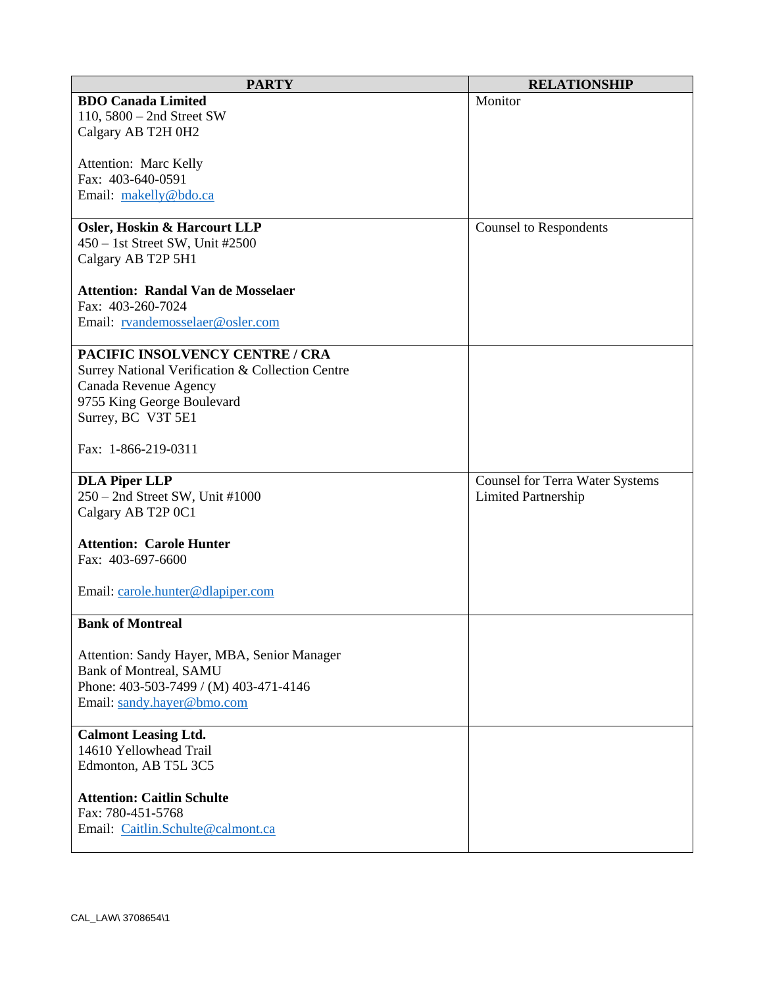| <b>PARTY</b>                                     | <b>RELATIONSHIP</b>                    |
|--------------------------------------------------|----------------------------------------|
| <b>BDO Canada Limited</b>                        | Monitor                                |
| 110, $5800 - 2$ nd Street SW                     |                                        |
| Calgary AB T2H 0H2                               |                                        |
|                                                  |                                        |
| Attention: Marc Kelly                            |                                        |
| Fax: 403-640-0591                                |                                        |
| Email: makelly@bdo.ca                            |                                        |
|                                                  |                                        |
| <b>Osler, Hoskin &amp; Harcourt LLP</b>          | <b>Counsel to Respondents</b>          |
| 450 - 1st Street SW, Unit #2500                  |                                        |
| Calgary AB T2P 5H1                               |                                        |
| <b>Attention: Randal Van de Mosselaer</b>        |                                        |
| Fax: 403-260-7024                                |                                        |
| Email: rvandemosselaer@osler.com                 |                                        |
|                                                  |                                        |
| PACIFIC INSOLVENCY CENTRE / CRA                  |                                        |
| Surrey National Verification & Collection Centre |                                        |
| Canada Revenue Agency                            |                                        |
| 9755 King George Boulevard                       |                                        |
| Surrey, BC V3T 5E1                               |                                        |
|                                                  |                                        |
| Fax: 1-866-219-0311                              |                                        |
|                                                  |                                        |
| <b>DLA Piper LLP</b>                             | <b>Counsel for Terra Water Systems</b> |
| 250 - 2nd Street SW, Unit #1000                  | Limited Partnership                    |
| Calgary AB T2P 0C1                               |                                        |
|                                                  |                                        |
| <b>Attention: Carole Hunter</b>                  |                                        |
| Fax: 403-697-6600                                |                                        |
|                                                  |                                        |
| Email: carole.hunter@dlapiper.com                |                                        |
| <b>Bank of Montreal</b>                          |                                        |
|                                                  |                                        |
| Attention: Sandy Hayer, MBA, Senior Manager      |                                        |
| <b>Bank of Montreal, SAMU</b>                    |                                        |
| Phone: 403-503-7499 / (M) 403-471-4146           |                                        |
| Email: sandy.hayer@bmo.com                       |                                        |
|                                                  |                                        |
| <b>Calmont Leasing Ltd.</b>                      |                                        |
| 14610 Yellowhead Trail                           |                                        |
| Edmonton, AB T5L 3C5                             |                                        |
|                                                  |                                        |
| <b>Attention: Caitlin Schulte</b>                |                                        |
| Fax: 780-451-5768                                |                                        |
| Email: Caitlin.Schulte@calmont.ca                |                                        |
|                                                  |                                        |